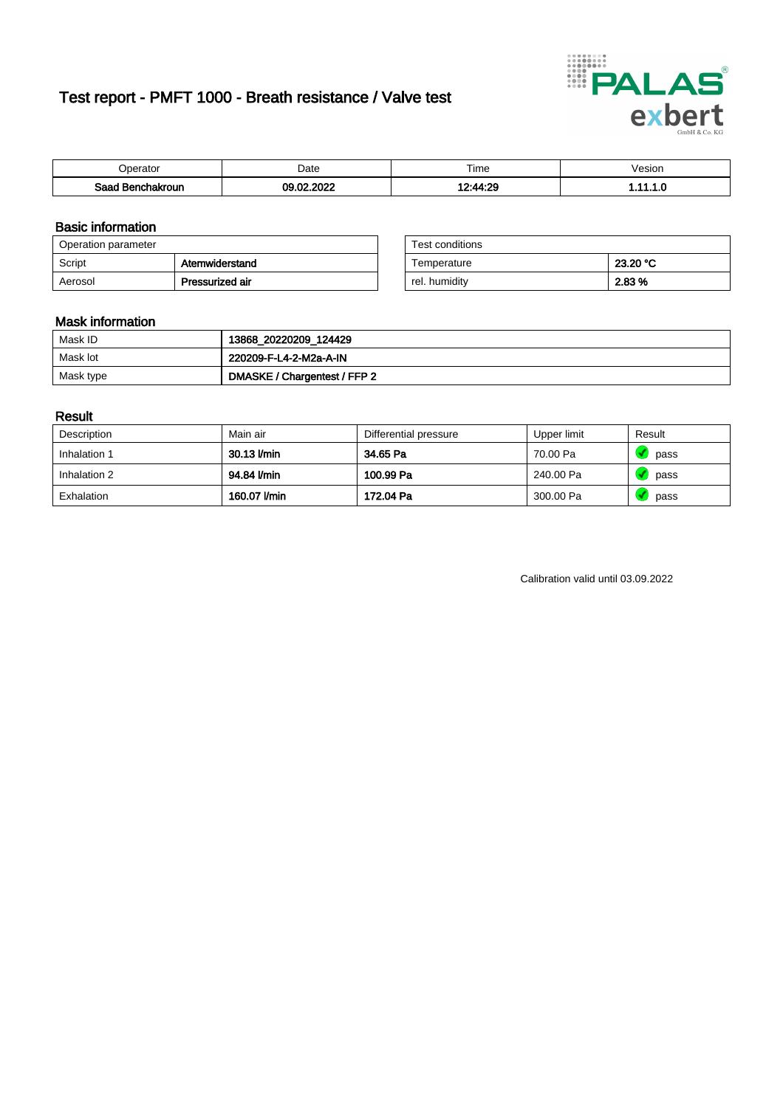# Test report - PMFT 1000 - Breath resistance / Valve test



| )perator               | Date                              | $- \cdot$<br>i ime | esion |
|------------------------|-----------------------------------|--------------------|-------|
| המס<br>hakroun<br>32 H | 000 <sup>o</sup><br>$\sim$<br>.uz | 12.11.20           | .     |

### Basic information

| Operation parameter |                 | Test conditions |          |
|---------------------|-----------------|-----------------|----------|
| Script              | Atemwiderstand  | Temperature     | 23.20 °C |
| Aerosol             | Pressurized air | rel. humidity   | 2.83 %   |

| Test conditions |          |
|-----------------|----------|
| Temperature     | 23.20 °C |
| rel. humidity   | 2.83%    |

### Mask information

| Mask ID   | 13868_20220209_124429        |
|-----------|------------------------------|
| Mask lot  | 220209-F-L4-2-M2a-A-IN       |
| Mask type | DMASKE / Chargentest / FFP 2 |

### Result

| Description  | Main air     | Differential pressure | Upper limit | Result |
|--------------|--------------|-----------------------|-------------|--------|
| Inhalation 1 | 30.13 l/min  | 34.65 Pa              | 70.00 Pa    | pass   |
| Inhalation 2 | 94.84 l/min  | 100.99 Pa             | 240.00 Pa   | pass   |
| Exhalation   | 160.07 l/min | 172.04 Pa             | 300.00 Pa   | pass   |

Calibration valid until 03.09.2022